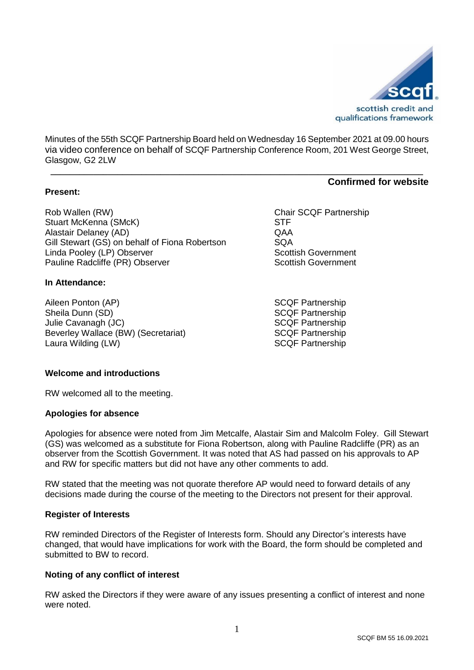

Minutes of the 55th SCQF Partnership Board held on Wednesday 16 September 2021 at 09.00 hours via video conference on behalf of SCQF Partnership Conference Room, 201 West George Street, Glasgow, G2 2LW

**\_\_\_\_\_\_\_\_\_\_\_\_\_\_\_\_\_\_\_\_\_\_\_\_\_\_\_\_\_\_\_\_\_\_\_\_\_\_\_\_\_\_\_\_\_\_\_\_\_\_\_\_\_\_\_\_\_\_\_\_\_\_\_\_\_\_\_\_\_\_\_\_\_\_\_\_\_\_**

#### **Present:**

Rob Wallen (RW)<br>
Stuart McKenna (SMcK)<br>
Stuart McKenna (SMcK) Stuart McKenna (SMcK) Alastair Delaney (AD) QAA Gill Stewart (GS) on behalf of Fiona Robertson SQA<br>
Linda Pooley (LP) Observer Superson Scottish Government Linda Pooley (LP) Observer Pauline Radcliffe (PR) Observer Scottish Government

#### **In Attendance:**

Aileen Ponton (AP) SCQF Partnership Sheila Dunn (SD) Sheila Dunn (SD) SCQF Partnership Julie Cavanagh (JC) SCQF Partnership Beverley Wallace (BW) (Secretariat) SCQF Partnership Laura Wilding (LW) SCQF Partnership

#### **Welcome and introductions**

RW welcomed all to the meeting.

#### **Apologies for absence**

Apologies for absence were noted from Jim Metcalfe, Alastair Sim and Malcolm Foley. Gill Stewart (GS) was welcomed as a substitute for Fiona Robertson, along with Pauline Radcliffe (PR) as an observer from the Scottish Government. It was noted that AS had passed on his approvals to AP and RW for specific matters but did not have any other comments to add.

RW stated that the meeting was not quorate therefore AP would need to forward details of any decisions made during the course of the meeting to the Directors not present for their approval.

### **Register of Interests**

RW reminded Directors of the Register of Interests form. Should any Director's interests have changed, that would have implications for work with the Board, the form should be completed and submitted to BW to record.

### **Noting of any conflict of interest**

RW asked the Directors if they were aware of any issues presenting a conflict of interest and none were noted.

# **Confirmed for website**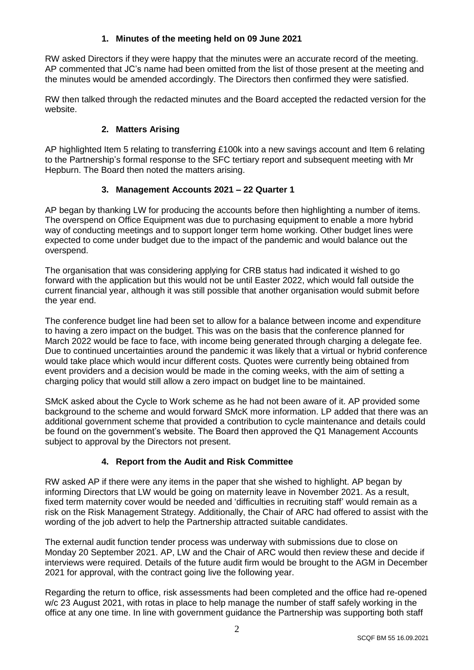### **1. Minutes of the meeting held on 09 June 2021**

RW asked Directors if they were happy that the minutes were an accurate record of the meeting. AP commented that JC's name had been omitted from the list of those present at the meeting and the minutes would be amended accordingly. The Directors then confirmed they were satisfied.

RW then talked through the redacted minutes and the Board accepted the redacted version for the website.

### **2. Matters Arising**

AP highlighted Item 5 relating to transferring £100k into a new savings account and Item 6 relating to the Partnership's formal response to the SFC tertiary report and subsequent meeting with Mr Hepburn. The Board then noted the matters arising.

### **3. Management Accounts 2021 – 22 Quarter 1**

AP began by thanking LW for producing the accounts before then highlighting a number of items. The overspend on Office Equipment was due to purchasing equipment to enable a more hybrid way of conducting meetings and to support longer term home working. Other budget lines were expected to come under budget due to the impact of the pandemic and would balance out the overspend.

The organisation that was considering applying for CRB status had indicated it wished to go forward with the application but this would not be until Easter 2022, which would fall outside the current financial year, although it was still possible that another organisation would submit before the year end.

The conference budget line had been set to allow for a balance between income and expenditure to having a zero impact on the budget. This was on the basis that the conference planned for March 2022 would be face to face, with income being generated through charging a delegate fee. Due to continued uncertainties around the pandemic it was likely that a virtual or hybrid conference would take place which would incur different costs. Quotes were currently being obtained from event providers and a decision would be made in the coming weeks, with the aim of setting a charging policy that would still allow a zero impact on budget line to be maintained.

SMcK asked about the Cycle to Work scheme as he had not been aware of it. AP provided some background to the scheme and would forward SMcK more information. LP added that there was an additional government scheme that provided a contribution to cycle maintenance and details could be found on the government's website. The Board then approved the Q1 Management Accounts subject to approval by the Directors not present.

### **4. Report from the Audit and Risk Committee**

RW asked AP if there were any items in the paper that she wished to highlight. AP began by informing Directors that LW would be going on maternity leave in November 2021. As a result, fixed term maternity cover would be needed and 'difficulties in recruiting staff' would remain as a risk on the Risk Management Strategy. Additionally, the Chair of ARC had offered to assist with the wording of the job advert to help the Partnership attracted suitable candidates.

The external audit function tender process was underway with submissions due to close on Monday 20 September 2021. AP, LW and the Chair of ARC would then review these and decide if interviews were required. Details of the future audit firm would be brought to the AGM in December 2021 for approval, with the contract going live the following year.

Regarding the return to office, risk assessments had been completed and the office had re-opened w/c 23 August 2021, with rotas in place to help manage the number of staff safely working in the office at any one time. In line with government guidance the Partnership was supporting both staff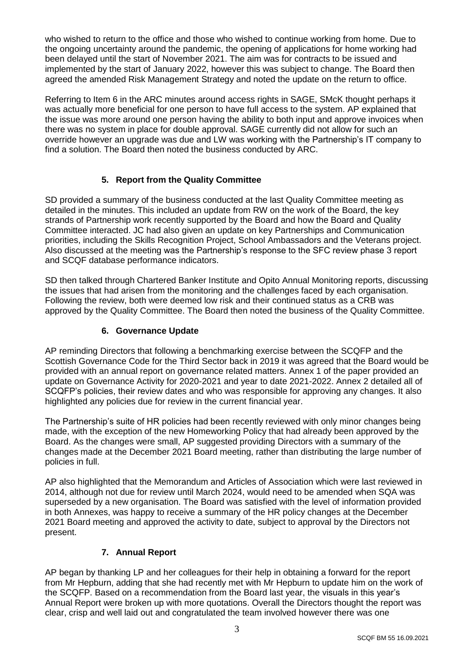who wished to return to the office and those who wished to continue working from home. Due to the ongoing uncertainty around the pandemic, the opening of applications for home working had been delayed until the start of November 2021. The aim was for contracts to be issued and implemented by the start of January 2022, however this was subject to change. The Board then agreed the amended Risk Management Strategy and noted the update on the return to office.

Referring to Item 6 in the ARC minutes around access rights in SAGE, SMcK thought perhaps it was actually more beneficial for one person to have full access to the system. AP explained that the issue was more around one person having the ability to both input and approve invoices when there was no system in place for double approval. SAGE currently did not allow for such an override however an upgrade was due and LW was working with the Partnership's IT company to find a solution. The Board then noted the business conducted by ARC.

# **5. Report from the Quality Committee**

SD provided a summary of the business conducted at the last Quality Committee meeting as detailed in the minutes. This included an update from RW on the work of the Board, the key strands of Partnership work recently supported by the Board and how the Board and Quality Committee interacted. JC had also given an update on key Partnerships and Communication priorities, including the Skills Recognition Project, School Ambassadors and the Veterans project. Also discussed at the meeting was the Partnership's response to the SFC review phase 3 report and SCQF database performance indicators.

SD then talked through Chartered Banker Institute and Opito Annual Monitoring reports, discussing the issues that had arisen from the monitoring and the challenges faced by each organisation. Following the review, both were deemed low risk and their continued status as a CRB was approved by the Quality Committee. The Board then noted the business of the Quality Committee.

## **6. Governance Update**

AP reminding Directors that following a benchmarking exercise between the SCQFP and the Scottish Governance Code for the Third Sector back in 2019 it was agreed that the Board would be provided with an annual report on governance related matters. Annex 1 of the paper provided an update on Governance Activity for 2020-2021 and year to date 2021-2022. Annex 2 detailed all of SCQFP's policies, their review dates and who was responsible for approving any changes. It also highlighted any policies due for review in the current financial year.

The Partnership's suite of HR policies had been recently reviewed with only minor changes being made, with the exception of the new Homeworking Policy that had already been approved by the Board. As the changes were small. AP suggested providing Directors with a summary of the changes made at the December 2021 Board meeting, rather than distributing the large number of policies in full.

AP also highlighted that the Memorandum and Articles of Association which were last reviewed in 2014, although not due for review until March 2024, would need to be amended when SQA was superseded by a new organisation. The Board was satisfied with the level of information provided in both Annexes, was happy to receive a summary of the HR policy changes at the December 2021 Board meeting and approved the activity to date, subject to approval by the Directors not present.

## **7. Annual Report**

AP began by thanking LP and her colleagues for their help in obtaining a forward for the report from Mr Hepburn, adding that she had recently met with Mr Hepburn to update him on the work of the SCQFP. Based on a recommendation from the Board last year, the visuals in this year's Annual Report were broken up with more quotations. Overall the Directors thought the report was clear, crisp and well laid out and congratulated the team involved however there was one